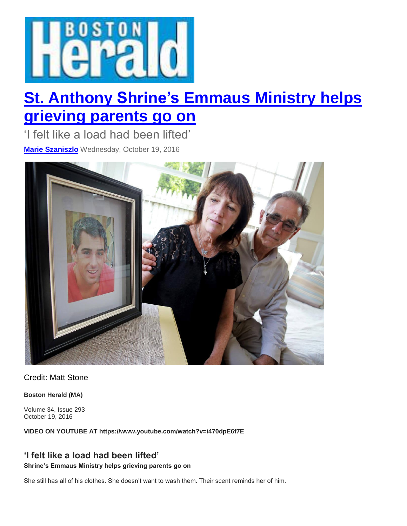

## **St. Anthony Shrine's [Emmaus](http://www.bostonherald.com/news/local_coverage/2016/10/st_anthony_shrine_s_emmaus_ministry_helps_grieving_parents_go_on) Ministry helps [grieving](http://www.bostonherald.com/news/local_coverage/2016/10/st_anthony_shrine_s_emmaus_ministry_helps_grieving_parents_go_on) parents go on**

'I felt like a load had been lifted' **Marie [Szaniszlo](http://www.bostonherald.com/users/marie_szaniszlo)** Wednesday, October 19, 2016



Credit: Matt Stone

**Boston Herald (MA)**

Volume 34, Issue 293 October 19, 2016

**VIDEO ON YOUTUBE AT https://www.youtube.com/watch?v=i470dpE6f7E**

## **'I felt like a load had been lifted'**

**Shrine's Emmaus Ministry helps grieving parents go on**

She still has all of his clothes. She doesn't want to wash them. Their scent reminds her of him.